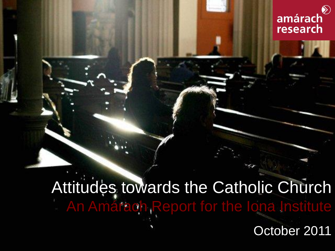

## Attitudes towards the Catholic Church **An Amárach Report for the Iona Institute**

October 2011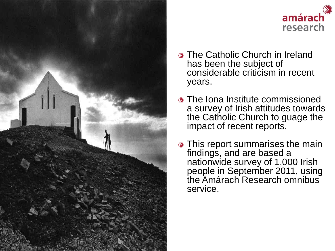



- **The Catholic Church in Ireland** has been the subject of considerable criticism in recent years.
- **The Iona Institute commissioned** a survey of Irish attitudes towards the Catholic Church to guage the impact of recent reports.
- **This report summarises the main** findings, and are based a nationwide survey of 1,000 Irish people in September 2011, using the Amárach Research omnibus service.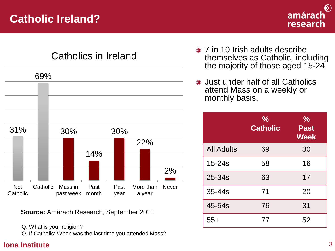

## Catholics in Ireland



**Source:** Amárach Research, September 2011

Q. What is your religion?

Q. If Catholic: When was the last time you attended Mass?

- **3** 7 in 10 Irish adults describe themselves as Catholic, including the majority of those aged 15-24.
- Just under half of all Catholics attend Mass on a weekly or monthly basis.

|                   | $\frac{1}{2}$<br><b>Catholic</b> | $\frac{1}{2}$<br><b>Past</b><br><b>Week</b> |
|-------------------|----------------------------------|---------------------------------------------|
| <b>All Adults</b> | 69                               | 30                                          |
| $15 - 24s$        | 58                               | 16                                          |
| 25-34s            | 63                               | 17                                          |
| 35-44s            | 71                               | 20                                          |
| 45-54s            | 76                               | 31                                          |
| $55+$             | 77                               | 52                                          |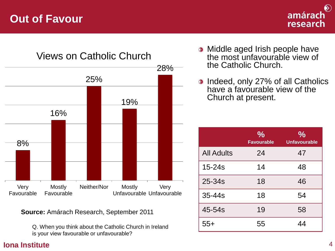## **Out of Favour**





Views on Catholic Church

**Source:** Amárach Research, September 2011

Q. When you think about the Catholic Church in Ireland is your view favourable or unfavourable?

- Middle aged Irish people have the most unfavourable view of the Catholic Church.
- **Indeed, only 27% of all Catholics** have a favourable view of the Church at present.

|                   | $\frac{0}{0}$<br><b>Favourable</b> | $\frac{0}{0}$<br><b>Unfavourable</b> |
|-------------------|------------------------------------|--------------------------------------|
| <b>All Adults</b> | 24                                 | 47                                   |
| $15 - 24s$        | 14                                 | 48                                   |
| 25-34s            | 18                                 | 46                                   |
| 35-44s            | 18                                 | 54                                   |
| 45-54s            | 19                                 | 58                                   |
| $55+$             | 55                                 | 44                                   |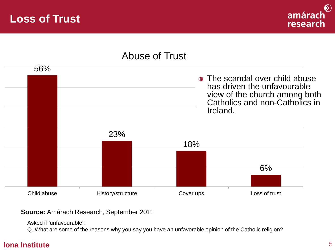## **Loss of Trust**



## Abuse of Trust



#### **Source:** Amárach Research, September 2011

Asked if 'unfavourable':

Q. What are some of the reasons why you say you have an unfavorable opinion of the Catholic religion?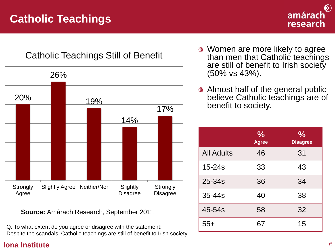## **Catholic Teachings**



## Catholic Teachings Still of Benefit



**Source:** Amárach Research, September 2011

Q. To what extent do you agree or disagree with the statement: Despite the scandals, Catholic teachings are still of benefit to Irish society

- Women are more likely to agree than men that Catholic teachings are still of benefit to Irish society (50% vs 43%).
- **Almost half of the general public** believe Catholic teachings are of benefit to society.

|                   | $\frac{1}{2}$<br><b>Agree</b> | $\frac{1}{2}$<br><b>Disagree</b> |
|-------------------|-------------------------------|----------------------------------|
| <b>All Adults</b> | 46                            | 31                               |
| $15 - 24s$        | 33                            | 43                               |
| 25-34s            | 36                            | 34                               |
| $35 - 44s$        | 40                            | 38                               |
| 45-54s            | 58                            | 32                               |
| $55+$             | 67                            | 15                               |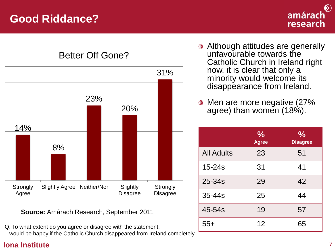

Better Off Gone?



**Source:** Amárach Research, September 2011

Q. To what extent do you agree or disagree with the statement: I would be happy if the Catholic Church disappeared from Ireland completely

- **Although attitudes are generally** unfavourable towards the Catholic Church in Ireland right now, it is clear that only a minority would welcome its disappearance from Ireland.
- Men are more negative (27%  $\bigotimes$ agree) than women (18%).

|                   | $\frac{0}{0}$<br><b>Agree</b> | $\frac{0}{0}$<br><b>Disagree</b> |
|-------------------|-------------------------------|----------------------------------|
| <b>All Adults</b> | 23                            | 51                               |
| $15 - 24s$        | 31                            | 41                               |
| 25-34s            | 29                            | 42                               |
| $35 - 44s$        | 25                            | 44                               |
| 45-54s            | 19                            | 57                               |
| $55+$             | 12                            | 65                               |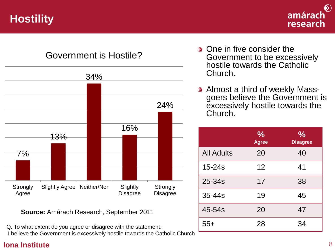**Hostility**





**Source:** Amárach Research, September 2011

Q. To what extent do you agree or disagree with the statement: I believe the Government is excessively hostile towards the Catholic Church

- **One in five consider the** Government to be excessively hostile towards the Catholic Church.
- Almost a third of weekly Mass- $\bigotimes$ goers believe the Government is excessively hostile towards the Church.

|                   | $\frac{1}{2}$<br><b>Agree</b> | $\frac{1}{2}$<br><b>Disagree</b> |
|-------------------|-------------------------------|----------------------------------|
| <b>All Adults</b> | 20                            | 40                               |
| $15 - 24s$        | 12                            | 41                               |
| 25-34s            | 17                            | 38                               |
| $35 - 44s$        | 19                            | 45                               |
| 45-54s            | 20                            | 47                               |
| $55+$             | 28                            | 34                               |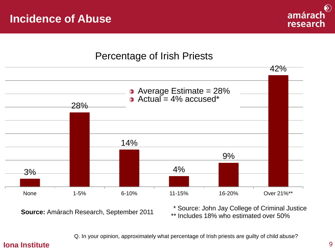

### Percentage of Irish Priests



**Source:** Amárach Research, September 2011

\* Source: John Jay College of Criminal Justice

\*\* Includes 18% who estimated over 50%

Q. In your opinion, approximately what percentage of Irish priests are guilty of child abuse?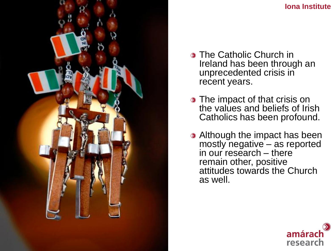

- **The Catholic Church in** Ireland has been through an unprecedented crisis in recent years.
- **The impact of that crisis on** the values and beliefs of Irish Catholics has been profound.
- **•** Although the impact has been mostly negative – as reported in our research – there remain other, positive attitudes towards the Church as well.

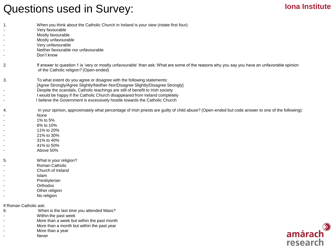## Questions used in Survey:

#### **Iona Institute**

| When you think about the Catholic Church in Ireland is your view (rotate first four): |  |
|---------------------------------------------------------------------------------------|--|
|---------------------------------------------------------------------------------------|--|

- Very favourable
- Mostly favourable
- Mostly unfavourable
- Very unfavourable
- Neither favourable nor unfavourable
- Don't know

2. If answer to question 1 is 'very or mostly unfavourable' than ask: What are some of the reasons why you say you have an unfavorable opinion of the Catholic religion? (Open-ended)

- 3. To what extent do you agree or disagree with the following statements:
	- [Agree Strongly/Agree Slightly/Neither-Nor/Disagree Slightly/Disagree Strongly]
	- Despite the scandals, Catholic teachings are still of benefit to Irish society
	- I would be happy if the Catholic Church disappeared from Ireland completely
	- I believe the Government is excessively hostile towards the Catholic Church

4. In your opinion, approximately what percentage of Irish priests are guilty of child abuse? (Open-ended but code answer to one of the following):

- None
- 1% to 5%
- 6% to 10%
	- 11% to 20%
- 21% to 30%
	- 31% to 40%
	- 41% to 50%
	- Above 50%
- 5. What is your religion?
	- Roman Catholic
- Church of Ireland
- Islam
- Presbyterian
- **Orthodox**
- Other religion
- No religion

If Roman Catholic ask:

- 6. When is the last time you attended Mass?
- Within the past week
- More than a week but within the past month
	- More than a month but within the past year
	- More than a year
- **Never**

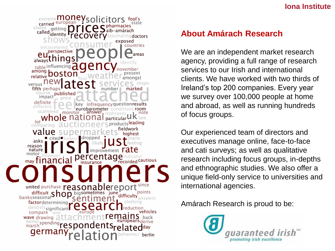#### **Iona Institute**

extreme**money**so tors fool's carried european states getting<br>called<sub>identity</sub> identity doctors countries erspective  $aI_{\text{Wavs}}$ chings table influencing among bosto relative versus<sup>II</sup> fifth perhaps publishe impact . monitor whole n lot comparino ∎dropped asks reasor nature centage <sub>mav</sub> tinancial recorded Cautious united purchase reasonablereport difficult  $Shop$  bigsometimes june points difficulty factordetermining dentists significant vehicles compare or wave drawing  $\partial$ europeans derive better spending ondents<sub>relatedday</sub> berlin

#### **About Amárach Research**

We are an independent market research agency, providing a full range of research services to our Irish and international clients. We have worked with two thirds of Ireland's top 200 companies. Every year we survey over 100,000 people at home and abroad, as well as running hundreds of focus groups.

Our experienced team of directors and executives manage online, face-to-face and cati surveys; as well as qualitative research including focus groups, in-depths and ethnographic studies. We also offer a unique field-only service to universities and international agencies.

Amárach Research is proud to be: